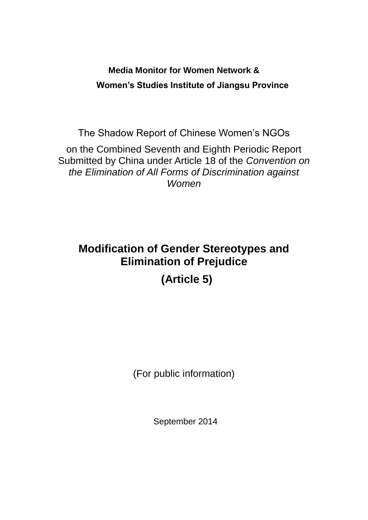## **Media Monitor for Women Network & Women's Studies Institute of Jiangsu Province**

The Shadow Report of Chinese Women's NGOs on the Combined Seventh and Eighth Periodic Report Submitted by China under Article 18 of the *Convention on the Elimination of All Forms of Discrimination against Women*

# **Modification of Gender Stereotypes and Elimination of Prejudice (Article 5)**

(For public information)

September 2014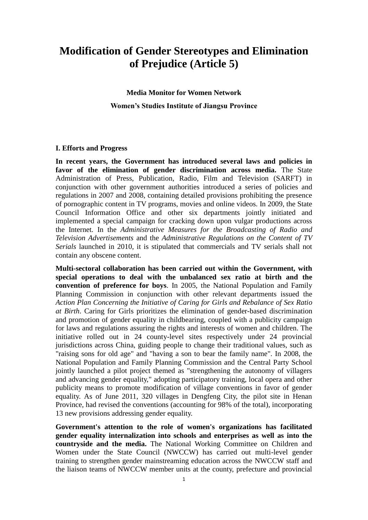### **Modification of Gender Stereotypes and Elimination of Prejudice (Article 5)**

**Media Monitor for Women Network Women's Studies Institute of Jiangsu Province**

#### **I. Efforts and Progress**

**In recent years, the Government has introduced several laws and policies in favor of the elimination of gender discrimination across media.** The State Administration of Press, Publication, Radio, Film and Television (SARFT) in conjunction with other government authorities introduced a series of policies and regulations in 2007 and 2008, containing detailed provisions prohibiting the presence of pornographic content in TV programs, movies and online videos. In 2009, the State Council Information Office and other six departments jointly initiated and implemented a special campaign for cracking down upon vulgar productions across the Internet. In the *Administrative Measures for the Broadcasting of Radio and Television Advertisements* and the *Administrative Regulations on the Content of TV Serials* launched in 2010, it is stipulated that commercials and TV serials shall not contain any obscene content.

**Multi-sectoral collaboration has been carried out within the Government, with special operations to deal with the unbalanced sex ratio at birth and the convention of preference for boys**. In 2005, the National Population and Family Planning Commission in conjunction with other relevant departments issued the *Action Plan Concerning the Initiative of Caring for Girls and Rebalance of Sex Ratio at Birth*. Caring for Girls prioritizes the elimination of gender-based discrimination and promotion of gender equality in childbearing, coupled with a publicity campaign for laws and regulations assuring the rights and interests of women and children. The initiative rolled out in 24 county-level sites respectively under 24 provincial jurisdictions across China, guiding people to change their traditional values, such as "raising sons for old age" and "having a son to bear the family name". In 2008, the National Population and Family Planning Commission and the Central Party School jointly launched a pilot project themed as "strengthening the autonomy of villagers and advancing gender equality," adopting participatory training, local opera and other publicity means to promote modification of village conventions in favor of gender equality. As of June 2011, 320 villages in Dengfeng City, the pilot site in Henan Province, had revised the conventions (accounting for 98% of the total), incorporating 13 new provisions addressing gender equality.

**Government's attention to the role of women's organizations has facilitated gender equality internalization into schools and enterprises as well as into the countryside and the media.** The National Working Committee on Children and Women under the State Council (NWCCW) has carried out multi-level gender training to strengthen gender mainstreaming education across the NWCCW staff and the liaison teams of NWCCW member units at the county, prefecture and provincial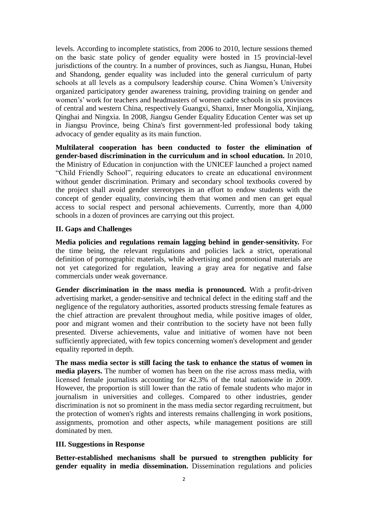levels. According to incomplete statistics, from 2006 to 2010, lecture sessions themed on the basic state policy of gender equality were hosted in 15 provincial-level jurisdictions of the country. In a number of provinces, such as Jiangsu, Hunan, Hubei and Shandong, gender equality was included into the general curriculum of party schools at all levels as a compulsory leadership course. China Women's University organized participatory gender awareness training, providing training on gender and women's' work for teachers and headmasters of women cadre schools in six provinces of central and western China, respectively Guangxi, Shanxi, Inner Mongolia, Xinjiang, Qinghai and Ningxia. In 2008, Jiangsu Gender Equality Education Center was set up in Jiangsu Province, being China's first government-led professional body taking advocacy of gender equality as its main function.

**Multilateral cooperation has been conducted to foster the elimination of gender-based discrimination in the curriculum and in school education.** In 2010, the Ministry of Education in conjunction with the UNICEF launched a project named "Child Friendly School", requiring educators to create an educational environment without gender discrimination. Primary and secondary school textbooks covered by the project shall avoid gender stereotypes in an effort to endow students with the concept of gender equality, convincing them that women and men can get equal access to social respect and personal achievements. Currently, more than 4,000 schools in a dozen of provinces are carrying out this project.

#### **II. Gaps and Challenges**

**Media policies and regulations remain lagging behind in gender-sensitivity.** For the time being, the relevant regulations and policies lack a strict, operational definition of pornographic materials, while advertising and promotional materials are not yet categorized for regulation, leaving a gray area for negative and false commercials under weak governance.

**Gender discrimination in the mass media is pronounced.** With a profit-driven advertising market, a gender-sensitive and technical defect in the editing staff and the negligence of the regulatory authorities, assorted products stressing female features as the chief attraction are prevalent throughout media, while positive images of older, poor and migrant women and their contribution to the society have not been fully presented. Diverse achievements, value and initiative of women have not been sufficiently appreciated, with few topics concerning women's development and gender equality reported in depth.

**The mass media sector is still facing the task to enhance the status of women in media players.** The number of women has been on the rise across mass media, with licensed female journalists accounting for 42.3% of the total nationwide in 2009. However, the proportion is still lower than the ratio of female students who major in journalism in universities and colleges. Compared to other industries, gender discrimination is not so prominent in the mass media sector regarding recruitment, but the protection of women's rights and interests remains challenging in work positions, assignments, promotion and other aspects, while management positions are still dominated by men.

#### **III. Suggestions in Response**

**Better-established mechanisms shall be pursued to strengthen publicity for gender equality in media dissemination.** Dissemination regulations and policies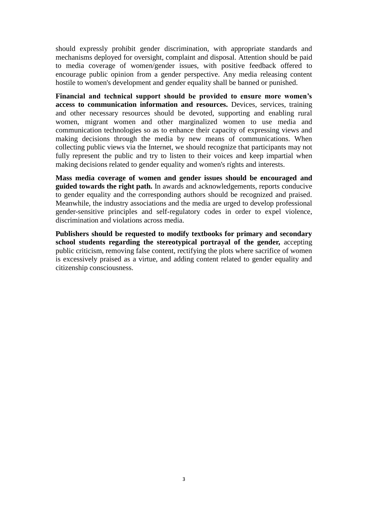should expressly prohibit gender discrimination, with appropriate standards and mechanisms deployed for oversight, complaint and disposal. Attention should be paid to media coverage of women/gender issues, with positive feedback offered to encourage public opinion from a gender perspective. Any media releasing content hostile to women's development and gender equality shall be banned or punished.

**Financial and technical support should be provided to ensure more women's access to communication information and resources.** Devices, services, training and other necessary resources should be devoted, supporting and enabling rural women, migrant women and other marginalized women to use media and communication technologies so as to enhance their capacity of expressing views and making decisions through the media by new means of communications. When collecting public views via the Internet, we should recognize that participants may not fully represent the public and try to listen to their voices and keep impartial when making decisions related to gender equality and women's rights and interests.

**Mass media coverage of women and gender issues should be encouraged and guided towards the right path.** In awards and acknowledgements, reports conducive to gender equality and the corresponding authors should be recognized and praised. Meanwhile, the industry associations and the media are urged to develop professional gender-sensitive principles and self-regulatory codes in order to expel violence, discrimination and violations across media.

**Publishers should be requested to modify textbooks for primary and secondary school students regarding the stereotypical portrayal of the gender,** accepting public criticism, removing false content, rectifying the plots where sacrifice of women is excessively praised as a virtue, and adding content related to gender equality and citizenship consciousness.